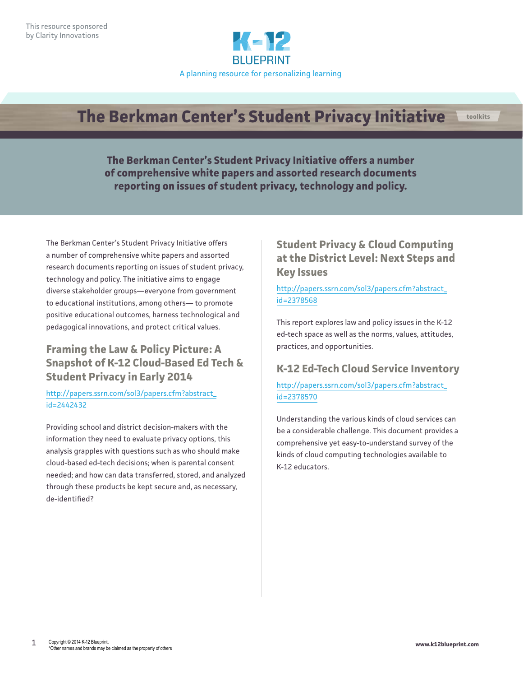

# **The Berkman Center's Student Privacy Initiative toolkits**

**The Berkman Center's Student Privacy Initiative offers a number of comprehensive white papers and assorted research documents reporting on issues of student privacy, technology and policy.** 

The Berkman Center's Student Privacy Initiative offers a number of comprehensive white papers and assorted research documents reporting on issues of student privacy, technology and policy. The initiative aims to engage diverse stakeholder groups—everyone from government to educational institutions, among others— to promote positive educational outcomes, harness technological and pedagogical innovations, and protect critical values.

## **Framing the Law & Policy Picture: A Snapshot of K-12 Cloud-Based Ed Tech & Student Privacy in Early 2014**

#### [http://papers.ssrn.com/sol3/papers.cfm?abstract\\_](http://papers.ssrn.com/sol3/papers.cfm?abstract_id=2442432) [id=2442432](http://papers.ssrn.com/sol3/papers.cfm?abstract_id=2442432)

Providing school and district decision-makers with the information they need to evaluate privacy options, this analysis grapples with questions such as who should make cloud-based ed-tech decisions; when is parental consent needed; and how can data transferred, stored, and analyzed through these products be kept secure and, as necessary, de-identified?

### **Student Privacy & Cloud Computing at the District Level: Next Steps and Key Issues**

#### [http://papers.ssrn.com/sol3/papers.cfm?abstract\\_](http://papers.ssrn.com/sol3/papers.cfm?abstract_id=2378568) [id=2378568](http://papers.ssrn.com/sol3/papers.cfm?abstract_id=2378568)

This report explores law and policy issues in the K-12 ed-tech space as well as the norms, values, attitudes, practices, and opportunities.

## **K-12 Ed-Tech Cloud Service Inventory**

#### [http://papers.ssrn.com/sol3/papers.cfm?abstract\\_](http://papers.ssrn.com/sol3/papers.cfm?abstract_id=2378570) [id=2378570](http://papers.ssrn.com/sol3/papers.cfm?abstract_id=2378570)

Understanding the various kinds of cloud services can be a considerable challenge. This document provides a comprehensive yet easy-to-understand survey of the kinds of cloud computing technologies available to K-12 educators.